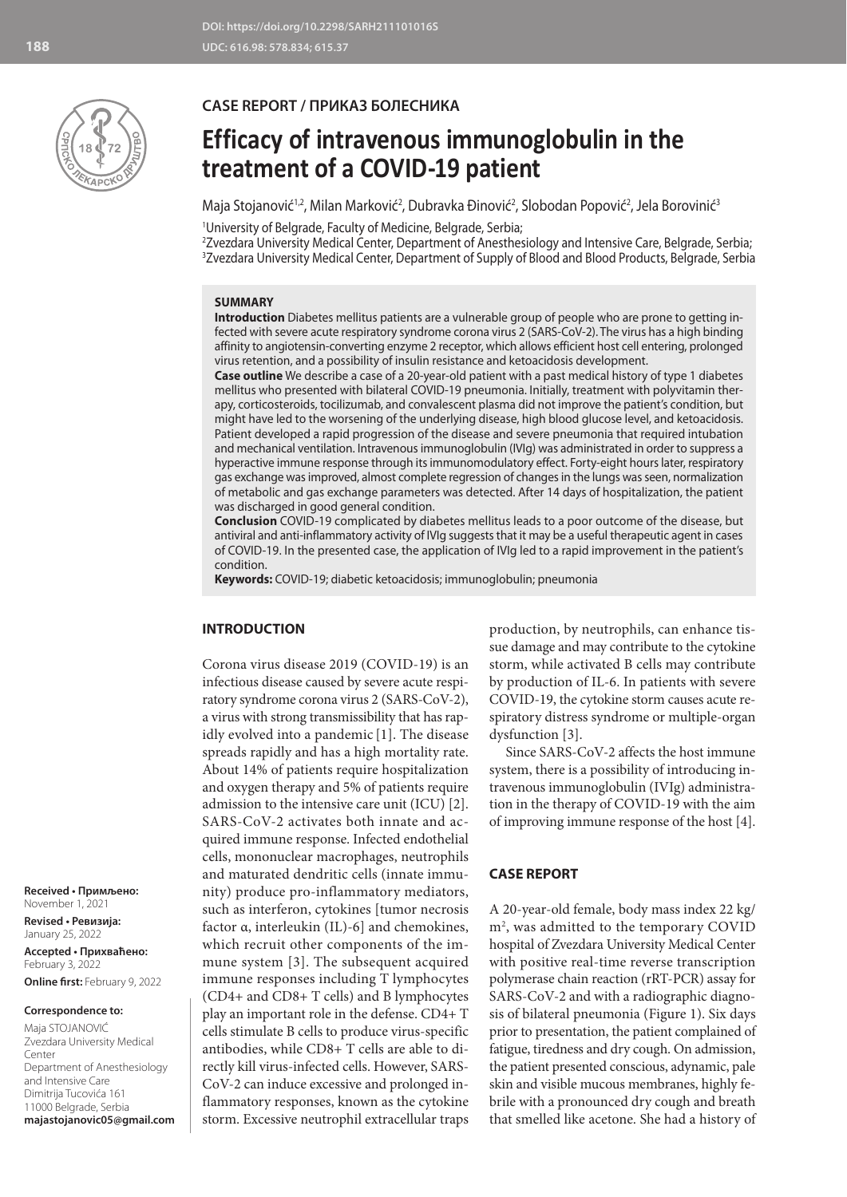

## **CASE REPORT / ПРИКАЗ БОЛЕСНИКА**

# **Efficacy of intravenous immunoglobulin in the treatment of a COVID-19 patient**

Maja Stojanović<sup>1,2</sup>, Milan Marković<sup>2</sup>, Dubravka Đinović<sup>2</sup>, Slobodan Popović<sup>2</sup>, Jela Borovinić<sup>3</sup>

1 University of Belgrade, Faculty of Medicine, Belgrade, Serbia;

2 Zvezdara University Medical Center, Department of Anesthesiology and Intensive Care, Belgrade, Serbia; 3 Zvezdara University Medical Center, Department of Supply of Blood and Blood Products, Belgrade, Serbia

### **SUMMARY**

**Introduction** Diabetes mellitus patients are a vulnerable group of people who are prone to getting infected with severe acute respiratory syndrome corona virus 2 (SARS-CoV-2). The virus has a high binding affinity to angiotensin-converting enzyme 2 receptor, which allows efficient host cell entering, prolonged virus retention, and a possibility of insulin resistance and ketoacidosis development.

**Case outline** We describe a case of a 20-year-old patient with a past medical history of type 1 diabetes mellitus who presented with bilateral COVID-19 pneumonia. Initially, treatment with polyvitamin therapy, corticosteroids, tocilizumab, and convalescent plasma did not improve the patient's condition, but might have led to the worsening of the underlying disease, high blood glucose level, and ketoacidosis. Patient developed a rapid progression of the disease and severe pneumonia that required intubation and mechanical ventilation. Intravenous immunoglobulin (IVIg) was administrated in order to suppress a hyperactive immune response through its immunomodulatory effect. Forty-eight hours later, respiratory gas exchange was improved, almost complete regression of changes in the lungs was seen, normalization of metabolic and gas exchange parameters was detected. After 14 days of hospitalization, the patient was discharged in good general condition.

**Conclusion** COVID-19 complicated by diabetes mellitus leads to a poor outcome of the disease, but antiviral and anti-inflammatory activity of IVIg suggests that it may be a useful therapeutic agent in cases of COVID-19. In the presented case, the application of IVIg led to a rapid improvement in the patient's condition.

**Keywords:** COVID-19; diabetic ketoacidosis; immunoglobulin; pneumonia

#### **INTRODUCTION**

Corona virus disease 2019 (COVID-19) is an infectious disease caused by severe acute respiratory syndrome corona virus 2 (SARS-CoV-2), a virus with strong transmissibility that has rapidly evolved into a pandemic [1]. The disease spreads rapidly and has a high mortality rate. About 14% of patients require hospitalization and oxygen therapy and 5% of patients require admission to the intensive care unit (ICU) [2]. SARS-CoV-2 activates both innate and acquired immune response. Infected endothelial cells, mononuclear macrophages, neutrophils and maturated dendritic cells (innate immunity) produce pro-inflammatory mediators, such as interferon, cytokines [tumor necrosis factor α, interleukin (IL)-6] and chemokines, which recruit other components of the immune system [3]. The subsequent acquired immune responses including T lymphocytes (CD4+ and CD8+ T cells) and B lymphocytes play an important role in the defense. CD4+ T cells stimulate B cells to produce virus-specific antibodies, while CD8+ T cells are able to directly kill virus-infected cells. However, SARS-CoV-2 can induce excessive and prolonged inflammatory responses, known as the cytokine storm. Excessive neutrophil extracellular traps

production, by neutrophils, can enhance tissue damage and may contribute to the cytokine storm, while activated B cells may contribute by production of IL-6. In patients with severe COVID-19, the cytokine storm causes acute respiratory distress syndrome or multiple-organ dysfunction [3].

Since SARS-CoV-2 affects the host immune system, there is a possibility of introducing intravenous immunoglobulin (IVIg) administration in the therapy of COVID-19 with the aim of improving immune response of the host [4].

#### **CASE REPORT**

A 20-year-old female, body mass index 22 kg/ m2 , was admitted to the temporary COVID hospital of Zvezdara University Medical Center with positive real-time reverse transcription polymerase chain reaction (rRT-PCR) assay for SARS-CoV-2 and with a radiographic diagnosis of bilateral pneumonia (Figure 1). Six days prior to presentation, the patient complained of fatigue, tiredness and dry cough. On admission, the patient presented conscious, adynamic, pale skin and visible mucous membranes, highly febrile with a pronounced dry cough and breath that smelled like acetone. She had a history of

**Received • Примљено:**  November 1, 2021

**Revised • Ревизија:**  January 25, 2022 **Accepted • Прихваћено:** February 3, 2022 **Online first:** February 9, 2022

#### **Correspondence to:**

Maja STOJANOVIĆ Zvezdara University Medical Center Department of Anesthesiology and Intensive Care Dimitrija Tucovića 161 11000 Belgrade, Serbia **majastojanovic05@gmail.com**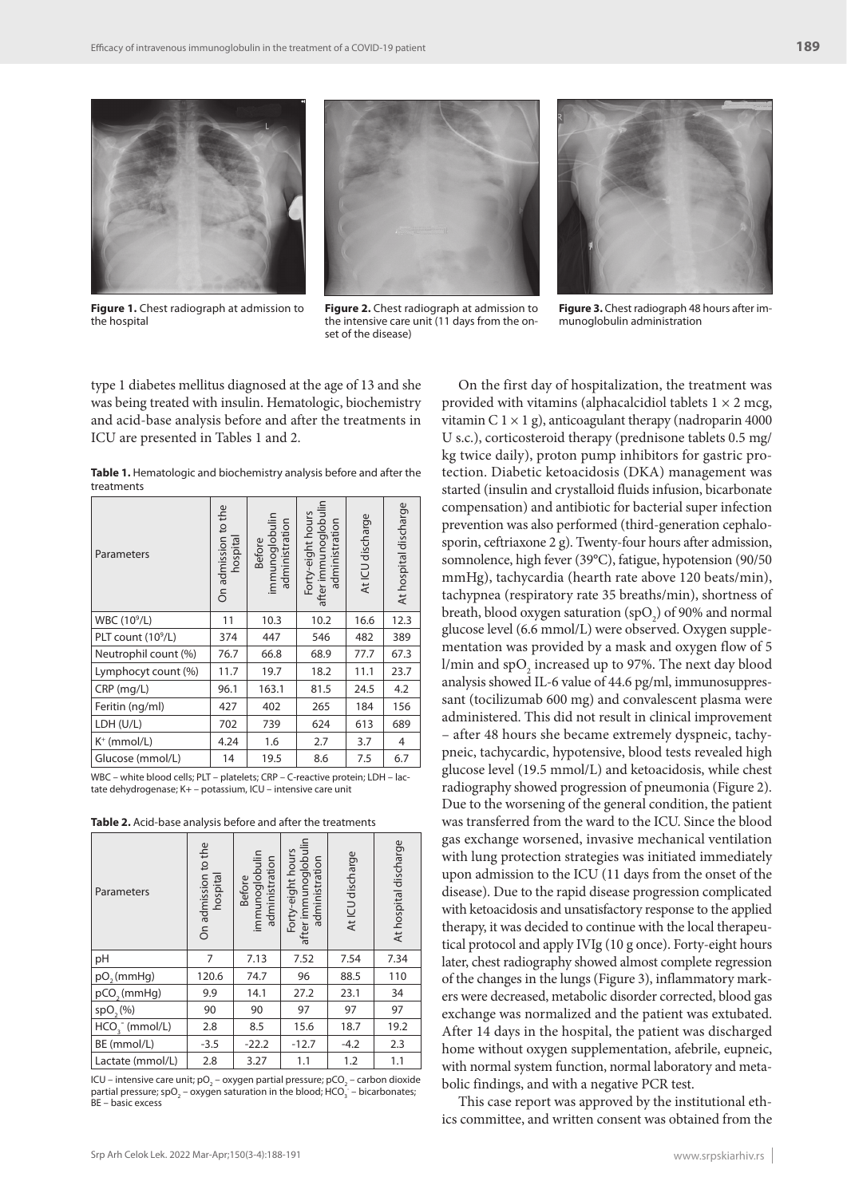



**Figure 1.** Chest radiograph at admission to the hospital

**Figure 2.** Chest radiograph at admission to the intensive care unit (11 days from the onset of the disease)

**Figure 3.** Chest radiograph 48 hours after immunoglobulin administration

type 1 diabetes mellitus diagnosed at the age of 13 and she was being treated with insulin. Hematologic, biochemistry and acid-base analysis before and after the treatments in ICU are presented in Tables 1 and 2.

**Table 1.** Hematologic and biochemistry analysis before and after the treatments

| Parameters                     | On admission to the<br>hospita | immunoglobulin<br>administration<br>Before | after immunoglobulin<br>Forty-eight hours<br>administration | At ICU discharge | At hospital discharge |
|--------------------------------|--------------------------------|--------------------------------------------|-------------------------------------------------------------|------------------|-----------------------|
| WBC (10 <sup>9</sup> /L)       | 11                             | 10.3                                       | 10.2                                                        | 16.6             | 12.3                  |
| PLT count (10 <sup>9</sup> /L) | 374                            | 447                                        | 546                                                         | 482              | 389                   |
| Neutrophil count (%)           | 76.7                           | 66.8                                       | 68.9                                                        | 77.7             | 67.3                  |
| Lymphocyt count (%)            | 11.7                           | 19.7                                       | 18.2                                                        | 11.1             | 23.7                  |
| $CRP$ (mg/L)                   | 96.1                           | 163.1                                      | 81.5                                                        | 24.5             | 4.2                   |
| Feritin (ng/ml)                | 427                            | 402                                        | 265                                                         | 184              | 156                   |
| LDH (U/L)                      | 702                            | 739                                        | 624                                                         | 613              | 689                   |
| $K^+$ (mmol/L)                 | 4.24                           | 1.6                                        | 2.7                                                         | 3.7              | 4                     |
| Glucose (mmol/L)               | 14                             | 19.5                                       | 8.6                                                         | 7.5              | 6.7                   |

WBC – white blood cells; PLT – platelets; CRP – C-reactive protein; LDH – lactate dehydrogenase; K+ – potassium, ICU – intensive care unit

**Table 2.** Acid-base analysis before and after the treatments

| Parameters              | On admission to the<br>hospital | immunoglobulin<br>administration<br><b>Before</b> | Forty-eight hours<br>after immunoglobulin<br>administration | At ICU discharge | At hospital discharge |
|-------------------------|---------------------------------|---------------------------------------------------|-------------------------------------------------------------|------------------|-----------------------|
| pH                      | 7                               | 7.13                                              | 7.52                                                        | 7.54             | 7.34                  |
| pO <sub>s</sub> (mmHg)  | 120.6                           | 74.7                                              | 96                                                          | 88.5             | 110                   |
| pCO <sub>2</sub> (mmHg) | 9.9                             | 14.1                                              | 27.2                                                        | 23.1             | 34                    |
| $spO($ %)               | 90                              | 90                                                | 97                                                          | 97               | 97                    |
| $HCO3-$ (mmol/L)        | 2.8                             | 8.5                                               | 15.6                                                        | 18.7             | 19.2                  |
| BE (mmol/L)             | $-3.5$                          | $-22.2$                                           | $-12.7$                                                     | $-4.2$           | 2.3                   |
| Lactate (mmol/L)        | 2.8                             | 3.27                                              | 1.1                                                         | 1.2              | 1.1                   |

ICU – intensive care unit; pO<sub>2</sub> – oxygen partial pressure; pCO<sub>2</sub> – carbon dioxide partial pressure; spO<sub>2</sub> – oxygen saturation in the blood; HCO<sub>3</sub> – bicarbonates; BE – basic excess

On the first day of hospitalization, the treatment was provided with vitamins (alphacalcidiol tablets  $1 \times 2$  mcg, vitamin C  $1 \times 1$  g), anticoagulant therapy (nadroparin 4000 U s.c.), corticosteroid therapy (prednisone tablets 0.5 mg/ kg twice daily), proton pump inhibitors for gastric protection. Diabetic ketoacidosis (DKA) management was started (insulin and crystalloid fluids infusion, bicarbonate compensation) and antibiotic for bacterial super infection prevention was also performed (third-generation cephalosporin, ceftriaxone 2 g). Twenty-four hours after admission, somnolence, high fever (39°C), fatigue, hypotension (90/50 mmHg), tachycardia (hearth rate above 120 beats/min), tachypnea (respiratory rate 35 breaths/min), shortness of breath, blood oxygen saturation  $(spO_2)$  of 90% and normal glucose level (6.6 mmol/L) were observed. Oxygen supplementation was provided by a mask and oxygen flow of 5 l/min and  $\text{spO}_2$  increased up to 97%. The next day blood analysis showed IL-6 value of 44.6 pg/ml, immunosuppressant (tocilizumab 600 mg) and convalescent plasma were administered. This did not result in clinical improvement – after 48 hours she became extremely dyspneic, tachypneic, tachycardic, hypotensive, blood tests revealed high glucose level (19.5 mmol/L) and ketoacidosis, while chest radiography showed progression of pneumonia (Figure 2). Due to the worsening of the general condition, the patient was transferred from the ward to the ICU. Since the blood gas exchange worsened, invasive mechanical ventilation with lung protection strategies was initiated immediately upon admission to the ICU (11 days from the onset of the disease). Due to the rapid disease progression complicated with ketoacidosis and unsatisfactory response to the applied therapy, it was decided to continue with the local therapeutical protocol and apply IVIg (10 g once). Forty-eight hours later, chest radiography showed almost complete regression of the changes in the lungs (Figure 3), inflammatory markers were decreased, metabolic disorder corrected, blood gas exchange was normalized and the patient was extubated. After 14 days in the hospital, the patient was discharged home without oxygen supplementation, afebrile, eupneic, with normal system function, normal laboratory and metabolic findings, and with a negative PCR test.

This case report was approved by the institutional ethics committee, and written consent was obtained from the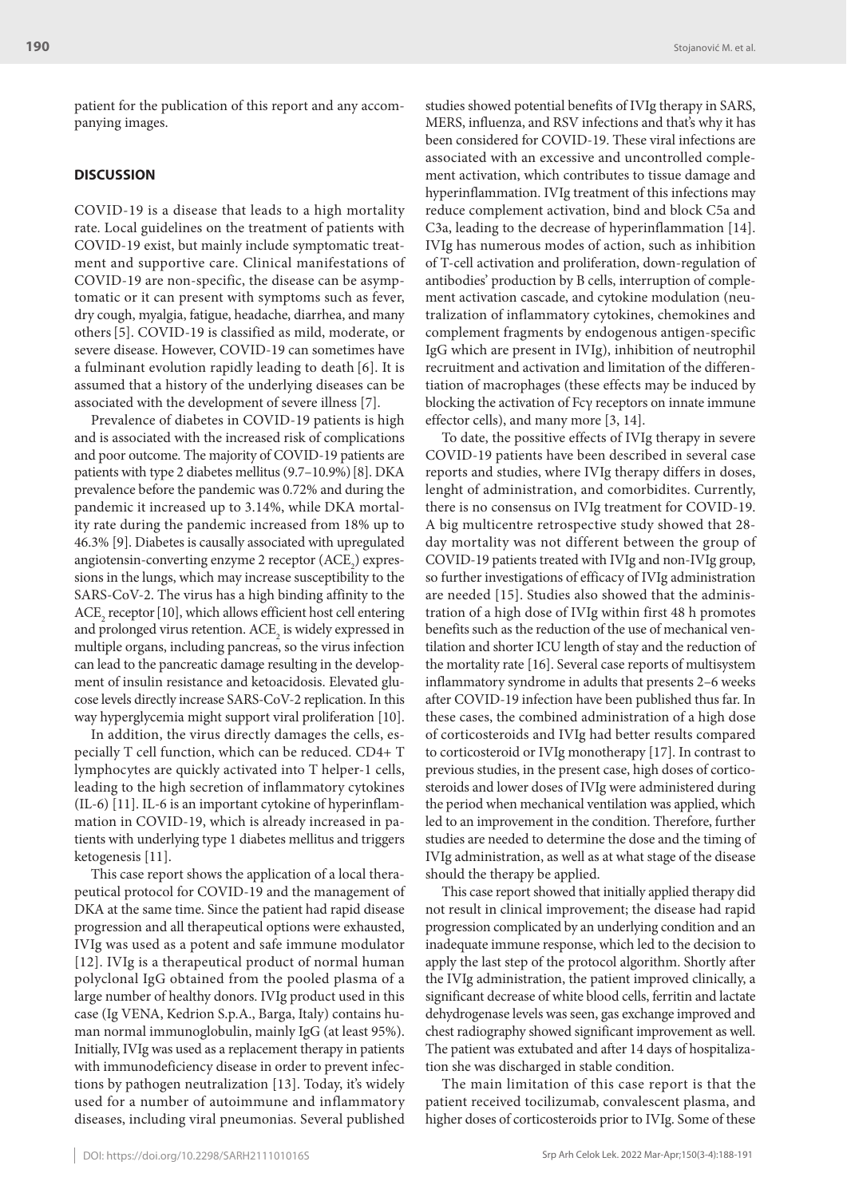patient for the publication of this report and any accompanying images.

#### **DISCUSSION**

COVID-19 is a disease that leads to a high mortality rate. Local guidelines on the treatment of patients with COVID-19 exist, but mainly include symptomatic treatment and supportive care. Clinical manifestations of COVID-19 are non-specific, the disease can be asymptomatic or it can present with symptoms such as fever, dry cough, myalgia, fatigue, headache, diarrhea, and many others[5]. COVID-19 is classified as mild, moderate, or severe disease. However, COVID-19 can sometimes have a fulminant evolution rapidly leading to death [6]. It is assumed that a history of the underlying diseases can be associated with the development of severe illness [7].

Prevalence of diabetes in COVID-19 patients is high and is associated with the increased risk of complications and poor outcome. The majority of COVID-19 patients are patients with type 2 diabetes mellitus (9.7–10.9%)[8]. DKA prevalence before the pandemic was 0.72% and during the pandemic it increased up to 3.14%, while DKA mortality rate during the pandemic increased from 18% up to 46.3% [9]. Diabetes is causally associated with upregulated angiotensin-converting enzyme 2 receptor  $(ACE<sub>2</sub>)$  expressions in the lungs, which may increase susceptibility to the SARS-CoV-2. The virus has a high binding affinity to the  $ACE<sub>2</sub> receptor [10], which allows efficient host cell entering$ and prolonged virus retention.  $ACE<sub>2</sub>$  is widely expressed in multiple organs, including pancreas, so the virus infection can lead to the pancreatic damage resulting in the development of insulin resistance and ketoacidosis. Elevated glucose levels directly increase SARS-CoV-2 replication. In this way hyperglycemia might support viral proliferation [10].

In addition, the virus directly damages the cells, especially T cell function, which can be reduced. CD4+ T lymphocytes are quickly activated into T helper-1 cells, leading to the high secretion of inflammatory cytokines (IL-6) [11]. IL-6 is an important cytokine of hyperinflammation in COVID-19, which is already increased in patients with underlying type 1 diabetes mellitus and triggers ketogenesis [11].

This case report shows the application of a local therapeutical protocol for COVID-19 and the management of DKA at the same time. Since the patient had rapid disease progression and all therapeutical options were exhausted, IVIg was used as a potent and safe immune modulator [12]. IVIg is a therapeutical product of normal human polyclonal IgG obtained from the pooled plasma of a large number of healthy donors. IVIg product used in this case (Ig VENA, Kedrion S.p.A., Barga, Italy) contains human normal immunoglobulin, mainly IgG (at least 95%). Initially, IVIg was used as a replacement therapy in patients with immunodeficiency disease in order to prevent infections by pathogen neutralization [13]. Today, it's widely used for a number of autoimmune and inflammatory diseases, including viral pneumonias. Several published

studies showed potential benefits of IVIg therapy in SARS, MERS, influenza, and RSV infections and that's why it has been considered for COVID-19. These viral infections are associated with an excessive and uncontrolled complement activation, which contributes to tissue damage and hyperinflammation. IVIg treatment of this infections may reduce complement activation, bind and block C5a and C3a, leading to the decrease of hyperinflammation [14]. IVIg has numerous modes of action, such as inhibition of T-cell activation and proliferation, down-regulation of antibodies' production by B cells, interruption of complement activation cascade, and cytokine modulation (neutralization of inflammatory cytokines, chemokines and complement fragments by endogenous antigen-specific IgG which are present in IVIg), inhibition of neutrophil recruitment and activation and limitation of the differentiation of macrophages (these effects may be induced by blocking the activation of Fcγ receptors on innate immune effector cells), and many more [3, 14].

To date, the possitive effects of IVIg therapy in severe COVID-19 patients have been described in several case reports and studies, where IVIg therapy differs in doses, lenght of administration, and comorbidites. Currently, there is no consensus on IVIg treatment for COVID-19. A big multicentre retrospective study showed that 28 day mortality was not different between the group of COVID-19 patients treated with IVIg and non-IVIg group, so further investigations of efficacy of IVIg administration are needed [15]. Studies also showed that the administration of a high dose of IVIg within first 48 h promotes benefits such as the reduction of the use of mechanical ventilation and shorter ICU length of stay and the reduction of the mortality rate [16]. Several case reports of multisystem inflammatory syndrome in adults that presents 2–6 weeks after COVID-19 infection have been published thus far. In these cases, the combined administration of a high dose of corticosteroids and IVIg had better results compared to corticosteroid or IVIg monotherapy [17]. In contrast to previous studies, in the present case, high doses of corticosteroids and lower doses of IVIg were administered during the period when mechanical ventilation was applied, which led to an improvement in the condition. Therefore, further studies are needed to determine the dose and the timing of IVIg administration, as well as at what stage of the disease should the therapy be applied.

This case report showed that initially applied therapy did not result in clinical improvement; the disease had rapid progression complicated by an underlying condition and an inadequate immune response, which led to the decision to apply the last step of the protocol algorithm. Shortly after the IVIg administration, the patient improved clinically, a significant decrease of white blood cells, ferritin and lactate dehydrogenase levels was seen, gas exchange improved and chest radiography showed significant improvement as well. The patient was extubated and after 14 days of hospitalization she was discharged in stable condition.

The main limitation of this case report is that the patient received tocilizumab, convalescent plasma, and higher doses of corticosteroids prior to IVIg. Some of these